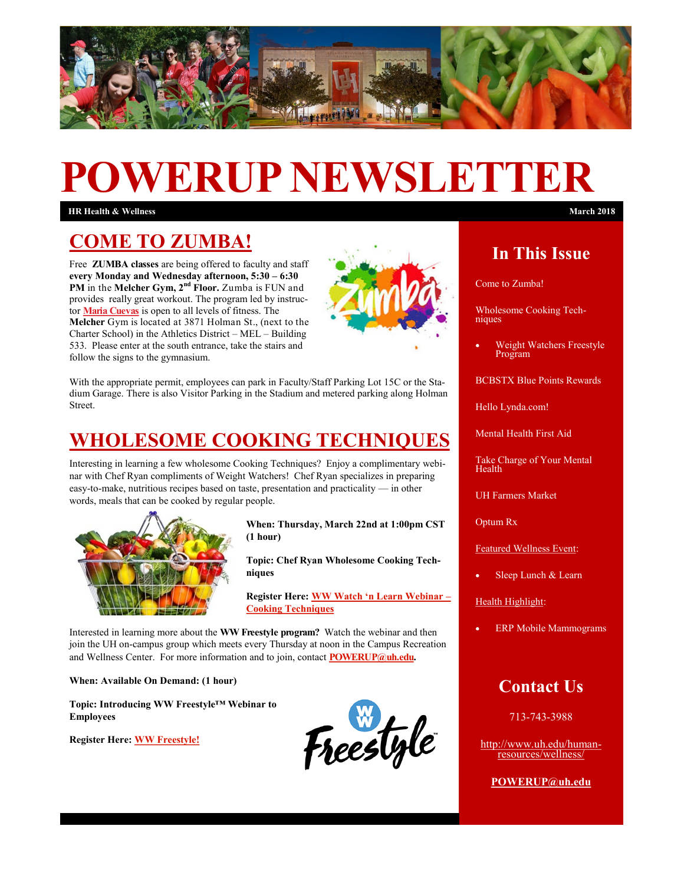

# **POWERUP NEWSLETTER**

**HR Health & Wellness March 2018**

#### **COME TO ZUMBA!**

Free **ZUMBA classes** are being offered to faculty and staff **every Monday and Wednesday afternoon, 5:30 – 6:30 PM** in the Melcher Gym,  $2^{nd}$  Floor. Zumba is FUN and provides really great workout. The program led by instructor **[Maria Cuevas](mailto:mcuevas3@Central.UH.EDU)** is open to all levels of fitness. The **Melcher** Gym is located at 3871 Holman St., (next to the Charter School) in the Athletics District – MEL – Building 533. Please enter at the south entrance, take the stairs and follow the signs to the gymnasium.



With the appropriate permit, employees can park in Faculty/Staff Parking Lot 15C or the Stadium Garage. There is also Visitor Parking in the Stadium and metered parking along Holman **Street** 

#### **WHOLESOME COOKING TECHNIQUES**

Interesting in learning a few wholesome Cooking Techniques? Enjoy a complimentary webinar with Chef Ryan compliments of Weight Watchers! Chef Ryan specializes in preparing easy-to-make, nutritious recipes based on taste, presentation and practicality — in other words, meals that can be cooked by regular people.



**When: Thursday, March 22nd at 1:00pm CST (1 hour)**

**Topic: Chef Ryan Wholesome Cooking Techniques** 

**Register Here: [WW Watch 'n Learn Webinar –](https://event.on24.com/eventRegistration/EventLobbyServlet?target=reg20.jsp&referrer=&eventid=1550647&sessionid=1&key=224C9149BB2C4638B9480114DD0513BA®Tag=&sourcepaC:/Users/cstein/Documents/ACA%20EEOC%20Issues%20Final%20Rules%20on%20Employer%20Wellness%20P) [Cooking Techniques](https://event.on24.com/eventRegistration/EventLobbyServlet?target=reg20.jsp&referrer=&eventid=1550647&sessionid=1&key=224C9149BB2C4638B9480114DD0513BA®Tag=&sourcepaC:/Users/cstein/Documents/ACA%20EEOC%20Issues%20Final%20Rules%20on%20Employer%20Wellness%20P)** 

Interested in learning more about the **WW Freestyle program?** Watch the webinar and then join the UH on-campus group which meets every Thursday at noon in the Campus Recreation and Wellness Center. For more information and to join, contact **POWERUP@uh.edu.** 

**When: Available On Demand: (1 hour)**

**Topic: Introducing WW Freestyle™ Webinar to Employees**

**Register Here: [WW Freestyle!](https://event.on24.com/eventRegistration/EventLobbyServlet?target=reg20.jsp&referrer=&eventid=1560209&sessionid=1&key=BEC35C44E2A0B8444F4847F31C7973C7®Tag=&sourcepaC:/Users/cstein/Documents/ACA%20EEOC%20Issues%20Final%20Rules%20on%20Employer%20Wellness%20P)** 

Freestyle

#### **In This Issue**

Come to Zumba!

Wholesome Cooking Techniques

 Weight Watchers Freestyle Program

BCBSTX Blue Points Rewards

Hello Lynda.com!

Mental Health First Aid

Take Charge of Your Mental Health

UH Farmers Market

Optum Rx

Featured Wellness Event:

Sleep Lunch & Learn

Health Highlight:

ERP Mobile Mammograms

#### **Contact Us**

713-743-3988

[http://www.uh.edu/human](http://uhhelpdesk.custhelp.com/rd?1=AvNw~wqPDv8S~x7zGl1m~yKZAFsohC77Mv~m~z7~Pv8v&2=26669)[resources/wellness/](http://uhhelpdesk.custhelp.com/rd?1=AvNw~wqPDv8S~x7zGl1m~yKZAFsohC77Mv~m~z7~Pv8v&2=26669)

**[POWERUP@uh.edu](mailto:POWERUP@uh.edu)**